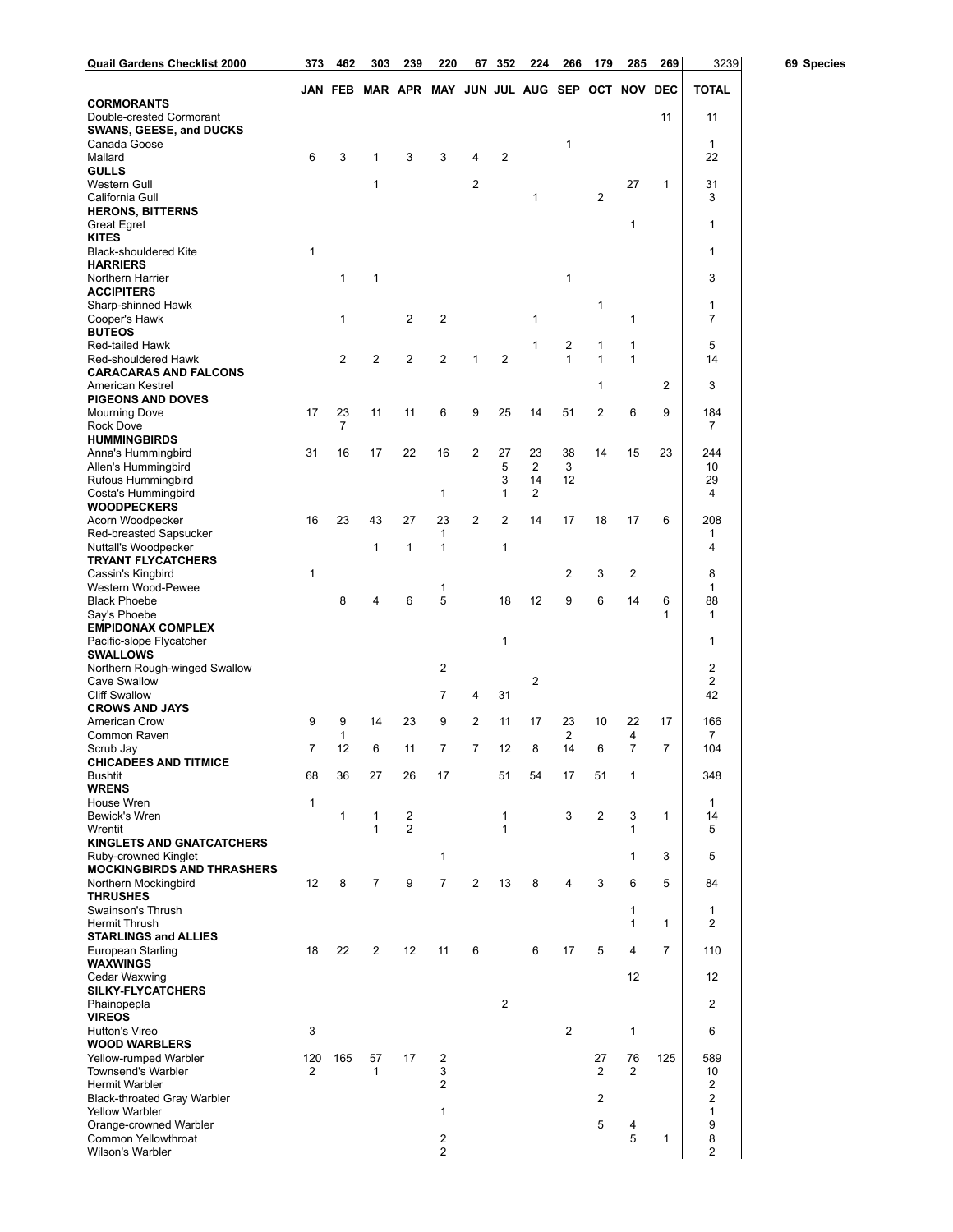| Quail Gardens Checklist 2000                             | 373          | 462            | 303                                             | 239 | 220                 | 67             | 352                     | 224            | 266            | 179            | 285          | 269          | 3239                          | 69 Species |
|----------------------------------------------------------|--------------|----------------|-------------------------------------------------|-----|---------------------|----------------|-------------------------|----------------|----------------|----------------|--------------|--------------|-------------------------------|------------|
|                                                          |              |                | JAN FEB MAR APR MAY JUN JUL AUG SEP OCT NOV DEC |     |                     |                |                         |                |                |                |              |              | <b>TOTAL</b>                  |            |
| <b>CORMORANTS</b><br>Double-crested Cormorant            |              |                |                                                 |     |                     |                |                         |                |                |                |              | 11           | 11                            |            |
| <b>SWANS, GEESE, and DUCKS</b>                           |              |                |                                                 |     |                     |                |                         |                |                |                |              |              |                               |            |
| Canada Goose                                             |              |                |                                                 |     |                     |                |                         |                | 1              |                |              |              | $\mathbf{1}$                  |            |
| Mallard<br><b>GULLS</b>                                  | 6            | 3              | 1                                               | 3   | 3                   | 4              | 2                       |                |                |                |              |              | 22                            |            |
| Western Gull                                             |              |                | 1                                               |     |                     | $\overline{2}$ |                         |                |                |                | 27           | 1            | 31                            |            |
| California Gull<br><b>HERONS, BITTERNS</b>               |              |                |                                                 |     |                     |                |                         | $\mathbf{1}$   |                | $\overline{2}$ |              |              | 3                             |            |
| <b>Great Egret</b>                                       |              |                |                                                 |     |                     |                |                         |                |                |                | 1            |              | 1                             |            |
| <b>KITES</b><br><b>Black-shouldered Kite</b>             | $\mathbf{1}$ |                |                                                 |     |                     |                |                         |                |                |                |              |              | 1                             |            |
| <b>HARRIERS</b>                                          |              |                |                                                 |     |                     |                |                         |                |                |                |              |              |                               |            |
| Northern Harrier                                         |              | $\mathbf{1}$   | 1                                               |     |                     |                |                         |                | 1              |                |              |              | 3                             |            |
| <b>ACCIPITERS</b><br>Sharp-shinned Hawk                  |              |                |                                                 |     |                     |                |                         |                |                | 1              |              |              | 1                             |            |
| Cooper's Hawk                                            |              | 1              |                                                 | 2   | 2                   |                |                         | 1              |                |                | 1            |              | 7                             |            |
| <b>BUTEOS</b><br>Red-tailed Hawk                         |              |                |                                                 |     |                     |                |                         | 1              | 2              | 1              | 1            |              | 5                             |            |
| Red-shouldered Hawk                                      |              | 2              | 2                                               | 2   | 2                   | 1              | $\overline{2}$          |                | $\mathbf{1}$   | $\mathbf{1}$   | $\mathbf{1}$ |              | 14                            |            |
| <b>CARACARAS AND FALCONS</b>                             |              |                |                                                 |     |                     |                |                         |                |                |                |              |              |                               |            |
| American Kestrel<br><b>PIGEONS AND DOVES</b>             |              |                |                                                 |     |                     |                |                         |                |                | 1              |              | 2            | 3                             |            |
| <b>Mourning Dove</b>                                     | 17           | 23             | 11                                              | 11  | 6                   | 9              | 25                      | 14             | 51             | 2              | 6            | 9            | 184                           |            |
| Rock Dove<br><b>HUMMINGBIRDS</b>                         |              | $\overline{7}$ |                                                 |     |                     |                |                         |                |                |                |              |              | 7                             |            |
| Anna's Hummingbird                                       | 31           | 16             | 17                                              | 22  | 16                  | 2              | 27                      | 23             | 38             | 14             | 15           | 23           | 244                           |            |
| Allen's Hummingbird                                      |              |                |                                                 |     |                     |                | 5                       | 2              | 3              |                |              |              | 10                            |            |
| Rufous Hummingbird<br>Costa's Hummingbird                |              |                |                                                 |     | 1                   |                | 3<br>1                  | 14<br>2        | 12             |                |              |              | 29<br>4                       |            |
| <b>WOODPECKERS</b>                                       |              |                |                                                 |     |                     |                |                         |                |                |                |              |              |                               |            |
| Acorn Woodpecker<br>Red-breasted Sapsucker               | 16           | 23             | 43                                              | 27  | 23<br>1             | 2              | $\overline{\mathbf{c}}$ | 14             | 17             | 18             | 17           | 6            | 208<br>1                      |            |
| Nuttall's Woodpecker                                     |              |                | 1                                               | 1   | 1                   |                | 1                       |                |                |                |              |              | 4                             |            |
| <b>TRYANT FLYCATCHERS</b>                                |              |                |                                                 |     |                     |                |                         |                |                |                |              |              |                               |            |
| Cassin's Kingbird<br>Western Wood-Pewee                  | $\mathbf{1}$ |                |                                                 |     | 1                   |                |                         |                | 2              | 3              | 2            |              | 8<br>$\mathbf{1}$             |            |
| <b>Black Phoebe</b>                                      |              | 8              | 4                                               | 6   | 5                   |                | 18                      | 12             | 9              | 6              | 14           | 6            | 88                            |            |
| Say's Phoebe<br><b>EMPIDONAX COMPLEX</b>                 |              |                |                                                 |     |                     |                |                         |                |                |                |              | 1            | $\mathbf{1}$                  |            |
| Pacific-slope Flycatcher                                 |              |                |                                                 |     |                     |                | 1                       |                |                |                |              |              | 1                             |            |
| <b>SWALLOWS</b>                                          |              |                |                                                 |     |                     |                |                         |                |                |                |              |              |                               |            |
| Northern Rough-winged Swallow<br><b>Cave Swallow</b>     |              |                |                                                 |     | 2                   |                |                         | $\overline{c}$ |                |                |              |              | 2<br>2                        |            |
| <b>Cliff Swallow</b>                                     |              |                |                                                 |     | 7                   | 4              | 31                      |                |                |                |              |              | 42                            |            |
| <b>CROWS AND JAYS</b><br>American Crow                   | 9            | 9              | 14                                              | 23  | 9                   | 2              | 11                      | 17             | 23             | 10             | 22           | 17           | 166                           |            |
| Common Raven                                             |              | 1              |                                                 |     |                     |                |                         |                | 2              |                | 4            |              | 7                             |            |
| Scrub Jay<br><b>CHICADEES AND TITMICE</b>                | 7            | 12             | 6                                               | 11  | 7                   | 7              | 12                      | 8              | 14             | 6              | 7            | 7            | 104                           |            |
| Bushtit                                                  | 68           | 36             | 27                                              | 26  | 17                  |                | 51                      | 54             | 17             | 51             | 1            |              | 348                           |            |
| <b>WRENS</b><br>House Wren                               | $\mathbf{1}$ |                |                                                 |     |                     |                |                         |                |                |                |              |              |                               |            |
| Bewick's Wren                                            |              | $\mathbf{1}$   | $\mathbf{1}$                                    | 2   |                     |                | 1                       |                | 3              | $\overline{c}$ | 3            | $\mathbf{1}$ | 1<br>14                       |            |
| Wrentit                                                  |              |                | 1                                               | 2   |                     |                | $\mathbf{1}$            |                |                |                | 1            |              | 5                             |            |
| <b>KINGLETS AND GNATCATCHERS</b><br>Ruby-crowned Kinglet |              |                |                                                 |     | 1                   |                |                         |                |                |                | 1            | 3            | 5                             |            |
| <b>MOCKINGBIRDS AND THRASHERS</b>                        |              |                |                                                 |     |                     |                |                         |                |                |                |              |              |                               |            |
| Northern Mockingbird<br><b>THRUSHES</b>                  | 12           | 8              | 7                                               | 9   | $\overline{7}$      | 2              | 13                      | 8              | 4              | 3              | 6            | 5            | 84                            |            |
| Swainson's Thrush                                        |              |                |                                                 |     |                     |                |                         |                |                |                | 1            |              | 1                             |            |
| <b>Hermit Thrush</b>                                     |              |                |                                                 |     |                     |                |                         |                |                |                | 1            | $\mathbf{1}$ | 2                             |            |
| <b>STARLINGS and ALLIES</b><br>European Starling         | 18           | 22             | 2                                               | 12  | 11                  | 6              |                         | 6              | 17             | 5              | 4            | 7            | 110                           |            |
| WAXWINGS                                                 |              |                |                                                 |     |                     |                |                         |                |                |                |              |              |                               |            |
| Cedar Waxwing<br>SILKY-FLYCATCHERS                       |              |                |                                                 |     |                     |                |                         |                |                |                | 12           |              | 12                            |            |
| Phainopepla                                              |              |                |                                                 |     |                     |                | $\overline{2}$          |                |                |                |              |              | 2                             |            |
| <b>VIREOS</b><br>Hutton's Vireo                          | 3            |                |                                                 |     |                     |                |                         |                | $\overline{2}$ |                | $\mathbf{1}$ |              | 6                             |            |
| <b>WOOD WARBLERS</b>                                     |              |                |                                                 |     |                     |                |                         |                |                |                |              |              |                               |            |
| Yellow-rumped Warbler                                    | 120          | 165            | 57                                              | 17  | 2                   |                |                         |                |                | 27             | 76           | 125          | 589                           |            |
| <b>Townsend's Warbler</b><br>Hermit Warbler              | 2            |                | 1                                               |     | 3<br>$\overline{2}$ |                |                         |                |                | $\overline{2}$ | 2            |              | 10<br>$\overline{\mathbf{c}}$ |            |
| <b>Black-throated Gray Warbler</b>                       |              |                |                                                 |     |                     |                |                         |                |                | 2              |              |              | $\overline{2}$                |            |
| <b>Yellow Warbler</b><br>Orange-crowned Warbler          |              |                |                                                 |     | $\mathbf{1}$        |                |                         |                |                | 5              | 4            |              | 1<br>9                        |            |
| Common Yellowthroat                                      |              |                |                                                 |     | $\overline{2}$      |                |                         |                |                |                | 5            | $\mathbf{1}$ | 8                             |            |
| Wilson's Warbler                                         |              |                |                                                 |     | $\overline{2}$      |                |                         |                |                |                |              |              | $\overline{2}$                |            |